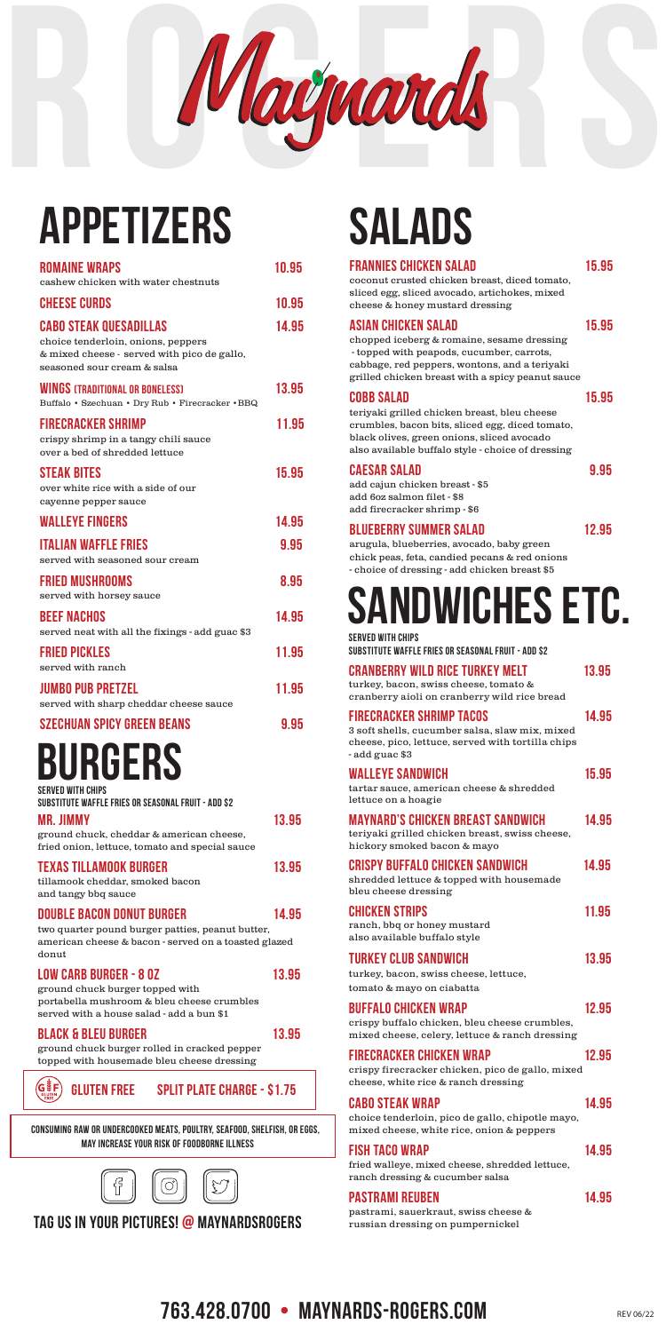

## APPETIZERS

| <b>ROMAINE WRAPS</b><br>cashew chicken with water chestnuts                                                                                                           | 10.95 |
|-----------------------------------------------------------------------------------------------------------------------------------------------------------------------|-------|
| <b>CHEESE CURDS</b>                                                                                                                                                   | 10.95 |
| <b>CABO STEAK QUESADILLAS</b><br>choice tenderloin, onions, peppers<br>& mixed cheese - served with pico de gallo,<br>seasoned sour cream & salsa                     | 14.95 |
| <b>WINGS (TRADITIONAL OR BONELESS)</b><br>Buffalo · Szechuan · Dry Rub · Firecracker · BBQ                                                                            | 13.95 |
| <b>FIRECRACKER SHRIMP</b><br>crispy shrimp in a tangy chili sauce<br>over a bed of shredded lettuce                                                                   | 11.95 |
| <b>STEAK BITES</b><br>over white rice with a side of our<br>cayenne pepper sauce                                                                                      | 15.95 |
| <b><i>WALLEYE FINGERS</i></b>                                                                                                                                         | 14.95 |
| <b>ITALIAN WAFFLE FRIES</b><br>served with seasoned sour cream                                                                                                        | 9.95  |
| FRIED MUSHROOMS<br>served with horsey sauce                                                                                                                           | 8.95  |
| <b>BEEF NACHOS</b><br>served neat with all the fixings - add guac \$3                                                                                                 | 14.95 |
| <b>FRIED PICKLES</b><br>served with ranch                                                                                                                             | 11.95 |
| <b>JUMBO PUB PRETZEL</b><br>served with sharp cheddar cheese sauce                                                                                                    | 11.95 |
| <b>SZECHUAN SPICY GREEN BEANS</b>                                                                                                                                     | 9.95  |
| BURGERS<br><b>SERVED WITH CHIPS</b>                                                                                                                                   |       |
| SUBSTITUTE WAFFLE FRIES OR SEASONAL FRUIT - ADD \$2<br><b>MR. JIMMY</b><br>ground chuck, cheddar & american cheese,<br>fried onion, lettuce, tomato and special sauce | 13.95 |
| TEXAS TILLAMOOK BURGER<br>tillamook cheddar, smoked bacon<br>and tangy bbq sauce                                                                                      | 13.95 |
| <b>DOUBLE BACON DONUT BURGER</b><br>two quarter pound burger patties, peanut butter,<br>american cheese & bacon - served on a toasted glazed<br>donut                 | 14.95 |
| <b>LOW CARB BURGER - 8 OZ</b>                                                                                                                                         | 13.95 |

ground chuck burger topped with portabella mushroom & bleu cheese crumbles served with a house salad - add a bun \$1

### BLACK & BLEU BURGER 13.95

ground chuck burger rolled in cracked pepper topped with housemade bleu cheese dressing



| <b>FRANNIES CHICKEN SALAD</b><br>coconut crusted chicken breast, diced tomato,<br>sliced egg, sliced avocado, artichokes, mixed<br>cheese & honey mustard dressing                                                        | 15.95 |
|---------------------------------------------------------------------------------------------------------------------------------------------------------------------------------------------------------------------------|-------|
| <b>ASIAN CHICKEN SALAD</b><br>chopped iceberg & romaine, sesame dressing<br>-topped with peapods, cucumber, carrots,<br>cabbage, red peppers, wontons, and a teriyaki<br>grilled chicken breast with a spicy peanut sauce | 15.95 |
| <b>COBB SALAD</b><br>teriyaki grilled chicken breast, bleu cheese<br>crumbles, bacon bits, sliced egg, diced tomato,<br>black olives, green onions, sliced avocado<br>also available buffalo style - choice of dressing   | 15.95 |
| <b>CAESAR SALAD</b><br>add cajun chicken breast - \$5<br>add 6oz salmon filet - \$8<br>add firecracker shrimp - \$6                                                                                                       | 9.95  |
| <b>BLUEBERRY SUMMER SALAD</b><br>arugula, blueberries, avocado, baby green<br>chick peas, feta, candied pecans & red onions<br>- choice of dressing - add chicken breast \$5                                              | 12.95 |
| <b>SANDWICHES ETC.</b><br>SERVED WITH CHIPS<br>SUBSTITUTE WAFFLE FRIES OR SEASONAL FRUIT - ADD \$2                                                                                                                        |       |
| <b>CRANBERRY WILD RICE TURKEY MELT</b><br>turkey, bacon, swiss cheese, tomato &<br>cranberry aioli on cranberry wild rice bread                                                                                           | 13.95 |
| <b>FIRECRACKER SHRIMP TACOS</b><br>3 soft shells, cucumber salsa, slaw mix, mixed<br>cheese, pico, lettuce, served with tortilla chips<br>-add guac \$3                                                                   | 14.95 |
| <b>WALLEYE SANDWICH</b><br>tartar sauce, american cheese & shredded<br>lettuce on a hoagie                                                                                                                                | 15.95 |
| <b>MAYNARD'S CHICKEN BREAST SANDWICH</b><br>teriyaki grilled chicken breast, swiss cheese,<br>hickory smoked bacon & mayo                                                                                                 | 14.95 |
| <b>CRISPY BUFFALO CHICKEN SANDWICH</b>                                                                                                                                                                                    | 14.95 |

# SALADS

shredded lettuce & topped with housemade bleu cheese dressing

CHICKEN STRIPS 11.95 ranch, bbq or honey mustard also available buffalo style

## TURKEY CLUB SANDWICH 13.95

turkey, bacon, swiss cheese, lettuce,

tomato & mayo on ciabatta

### BUFFALO CHICKEN WRAP 12.95

crispy buffalo chicken, bleu cheese crumbles, mixed cheese, celery, lettuce & ranch dressing

### FIRECRACKER CHICKEN WRAP 12.95

crispy firecracker chicken, pico de gallo, mixed cheese, white rice & ranch dressing

## CABO STEAK WRAP 14.95



choice tenderloin, pico de gallo, chipotle mayo, mixed cheese, white rice, onion & peppers

## FISH TACO WRAP 14.95



fried walleye, mixed cheese, shredded lettuce, ranch dressing & cucumber salsa

### PASTRAMI REUBEN 14.95

pastrami, sauerkraut, swiss cheese & russian dressing on pumpernickel

## **763.428.0700 • MAYNARDS-ROGERS.COM REVOG/22**

GLUTEN FREE SPLIT PLATE CHARGE - \$1.75

CONSUMING RAW OR UNDERCOOKED MEATS, POULTRY, SEAFOOD, SHELFISH, OR EGGS, MAY INCREASE YOUR RISK OF FOODBORNE ILLNESS



## TAG US IN YOUR PICTURES! @ MAYNARDSROGERS